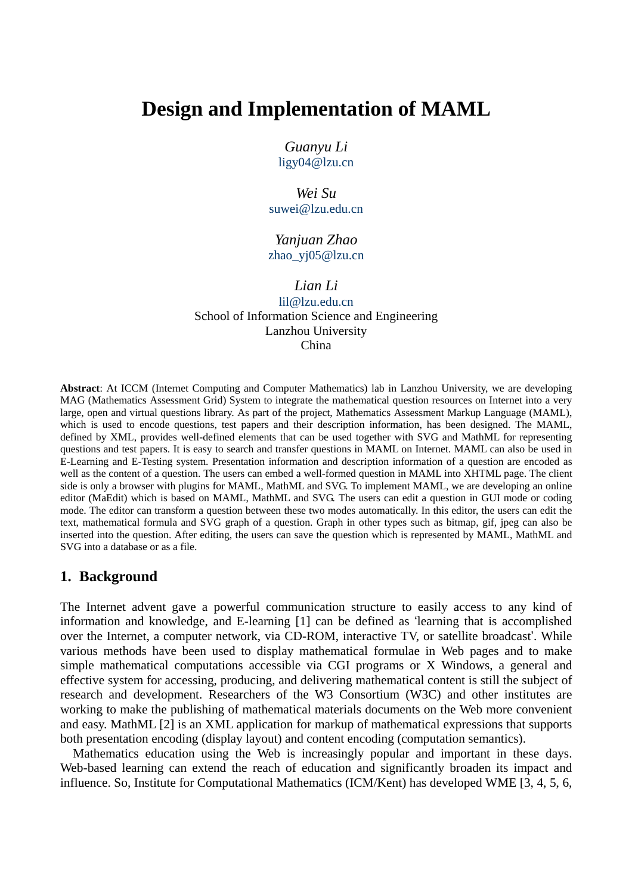# **Design and Implementation of MAML**

*Guanyu Li*  ligy04@lzu.cn

*Wei Su*  suwei@lzu.edu.cn

*Yanjuan Zhao*  zhao\_yj05@lzu.cn

*Lian Li* 

lil@lzu.edu.cn School of Information Science and Engineering Lanzhou University China

**Abstract**: At ICCM (Internet Computing and Computer Mathematics) lab in Lanzhou University, we are developing MAG (Mathematics Assessment Grid) System to integrate the mathematical question resources on Internet into a very large, open and virtual questions library. As part of the project, Mathematics Assessment Markup Language (MAML), which is used to encode questions, test papers and their description information, has been designed. The MAML, defined by XML, provides well-defined elements that can be used together with SVG and MathML for representing questions and test papers. It is easy to search and transfer questions in MAML on Internet. MAML can also be used in E-Learning and E-Testing system. Presentation information and description information of a question are encoded as well as the content of a question. The users can embed a well-formed question in MAML into XHTML page. The client side is only a browser with plugins for MAML, MathML and SVG. To implement MAML, we are developing an online editor (MaEdit) which is based on MAML, MathML and SVG. The users can edit a question in GUI mode or coding mode. The editor can transform a question between these two modes automatically. In this editor, the users can edit the text, mathematical formula and SVG graph of a question. Graph in other types such as bitmap, gif, jpeg can also be inserted into the question. After editing, the users can save the question which is represented by MAML, MathML and SVG into a database or as a file.

### **1. Background**

The Internet advent gave a powerful communication structure to easily access to any kind of information and knowledge, and E-learning [1] can be defined as 'learning that is accomplished over the Internet, a computer network, via CD-ROM, interactive TV, or satellite broadcast'. While various methods have been used to display mathematical formulae in Web pages and to make simple mathematical computations accessible via CGI programs or X Windows, a general and effective system for accessing, producing, and delivering mathematical content is still the subject of research and development. Researchers of the W3 Consortium (W3C) and other institutes are working to make the publishing of mathematical materials documents on the Web more convenient and easy. MathML [2] is an XML application for markup of mathematical expressions that supports both presentation encoding (display layout) and content encoding (computation semantics).

Mathematics education using the Web is increasingly popular and important in these days. Web-based learning can extend the reach of education and significantly broaden its impact and influence. So, Institute for Computational Mathematics (ICM/Kent) has developed WME [3, 4, 5, 6,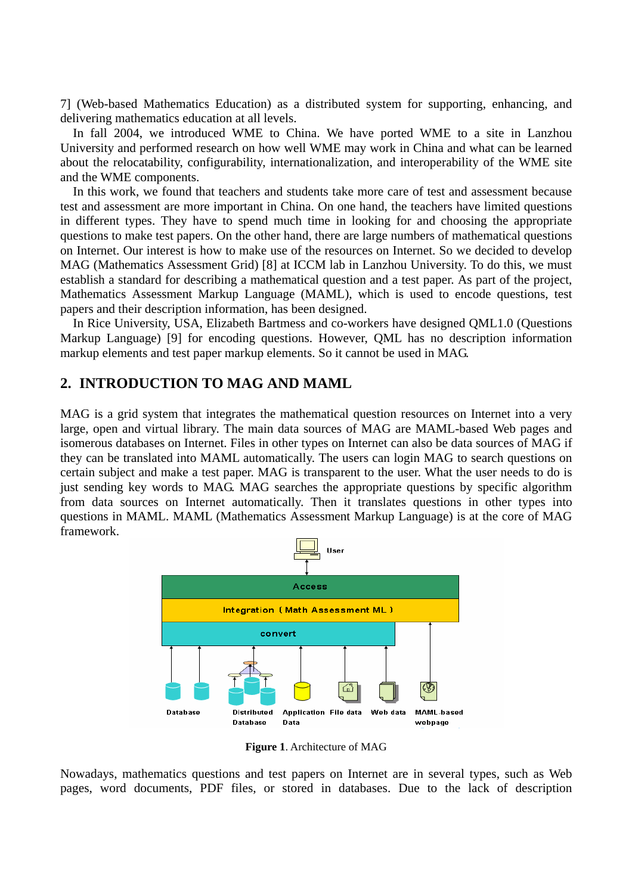7] (Web-based Mathematics Education) as a distributed system for supporting, enhancing, and delivering mathematics education at all levels.

In fall 2004, we introduced WME to China. We have ported WME to a site in Lanzhou University and performed research on how well WME may work in China and what can be learned about the relocatability, configurability, internationalization, and interoperability of the WME site and the WME components.

In this work, we found that teachers and students take more care of test and assessment because test and assessment are more important in China. On one hand, the teachers have limited questions in different types. They have to spend much time in looking for and choosing the appropriate questions to make test papers. On the other hand, there are large numbers of mathematical questions on Internet. Our interest is how to make use of the resources on Internet. So we decided to develop MAG (Mathematics Assessment Grid) [8] at ICCM lab in Lanzhou University. To do this, we must establish a standard for describing a mathematical question and a test paper. As part of the project, Mathematics Assessment Markup Language (MAML), which is used to encode questions, test papers and their description information, has been designed.

In Rice University, USA, Elizabeth Bartmess and co-workers have designed QML1.0 (Questions Markup Language) [9] for encoding questions. However, QML has no description information markup elements and test paper markup elements. So it cannot be used in MAG.

## **2. INTRODUCTION TO MAG AND MAML**

MAG is a grid system that integrates the mathematical question resources on Internet into a very large, open and virtual library. The main data sources of MAG are MAML-based Web pages and isomerous databases on Internet. Files in other types on Internet can also be data sources of MAG if they can be translated into MAML automatically. The users can login MAG to search questions on certain subject and make a test paper. MAG is transparent to the user. What the user needs to do is just sending key words to MAG. MAG searches the appropriate questions by specific algorithm from data sources on Internet automatically. Then it translates questions in other types into questions in MAML. MAML (Mathematics Assessment Markup Language) is at the core of MAG framework.



**Figure 1**. Architecture of MAG

Nowadays, mathematics questions and test papers on Internet are in several types, such as Web pages, word documents, PDF files, or stored in databases. Due to the lack of description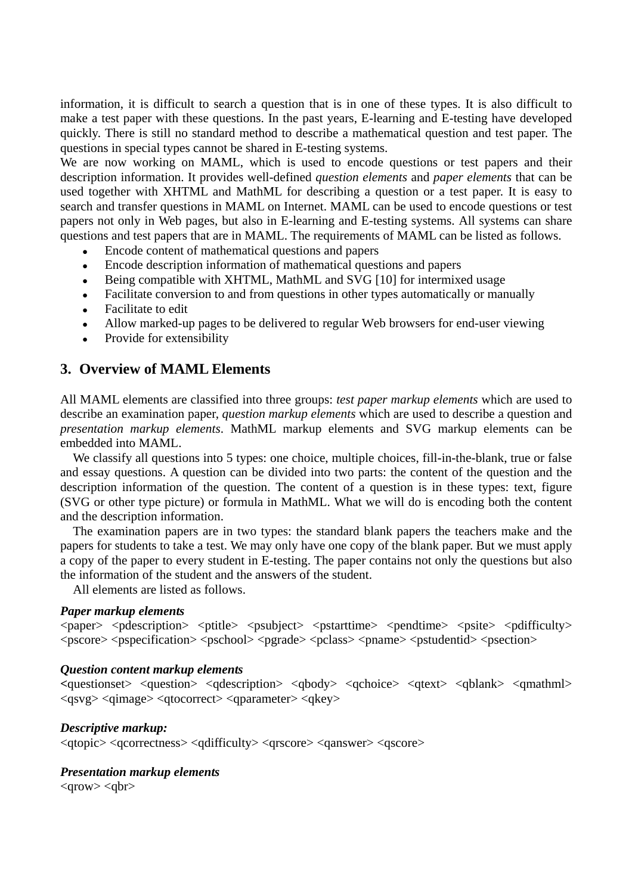information, it is difficult to search a question that is in one of these types. It is also difficult to make a test paper with these questions. In the past years, E-learning and E-testing have developed quickly. There is still no standard method to describe a mathematical question and test paper. The questions in special types cannot be shared in E-testing systems.

We are now working on MAML, which is used to encode questions or test papers and their description information. It provides well-defined *question elements* and *paper elements* that can be used together with XHTML and MathML for describing a question or a test paper. It is easy to search and transfer questions in MAML on Internet. MAML can be used to encode questions or test papers not only in Web pages, but also in E-learning and E-testing systems. All systems can share questions and test papers that are in MAML. The requirements of MAML can be listed as follows.

- Encode content of mathematical questions and papers
- Encode description information of mathematical questions and papers
- Being compatible with XHTML, MathML and SVG [10] for intermixed usage
- Facilitate conversion to and from questions in other types automatically or manually
- Facilitate to edit
- Allow marked-up pages to be delivered to regular Web browsers for end-user viewing
- Provide for extensibility

## **3. Overview of MAML Elements**

All MAML elements are classified into three groups: *test paper markup elements* which are used to describe an examination paper, *question markup elements* which are used to describe a question and *presentation markup elements*. MathML markup elements and SVG markup elements can be embedded into MAML.

We classify all questions into 5 types: one choice, multiple choices, fill-in-the-blank, true or false and essay questions. A question can be divided into two parts: the content of the question and the description information of the question. The content of a question is in these types: text, figure (SVG or other type picture) or formula in MathML. What we will do is encoding both the content and the description information.

The examination papers are in two types: the standard blank papers the teachers make and the papers for students to take a test. We may only have one copy of the blank paper. But we must apply a copy of the paper to every student in E-testing. The paper contains not only the questions but also the information of the student and the answers of the student.

All elements are listed as follows.

#### *Paper markup elements*

<paper> <pdescription> <ptitle> <psubject> <pstarttime> <pendtime> <psite> <pdifficulty>  $<$ pscore> $<$ pspecification> $<$ pschool> $<$ pgrade> $<$ pclass> $<$ pname> $<$ pstudentid> $<$ psection>

#### *Question content markup elements*

**<**questionset> <question> <qdescription> <qbody> <qchoice> <qtext> <qblank> <qmathml>  $\langle q s v g \rangle$   $\langle q i m a g e \rangle$   $\langle q t o correct \rangle$   $\langle q p a r a m e t e \rangle$   $\langle q k e y \rangle$ 

### *Descriptive markup:*

<qtopic> <qcorrectness> <qdifficulty> <qrscore> <qanswer> <qscore>

### *Presentation markup elements*

 $\langle$ grow $>$  $\langle$ gbr $>$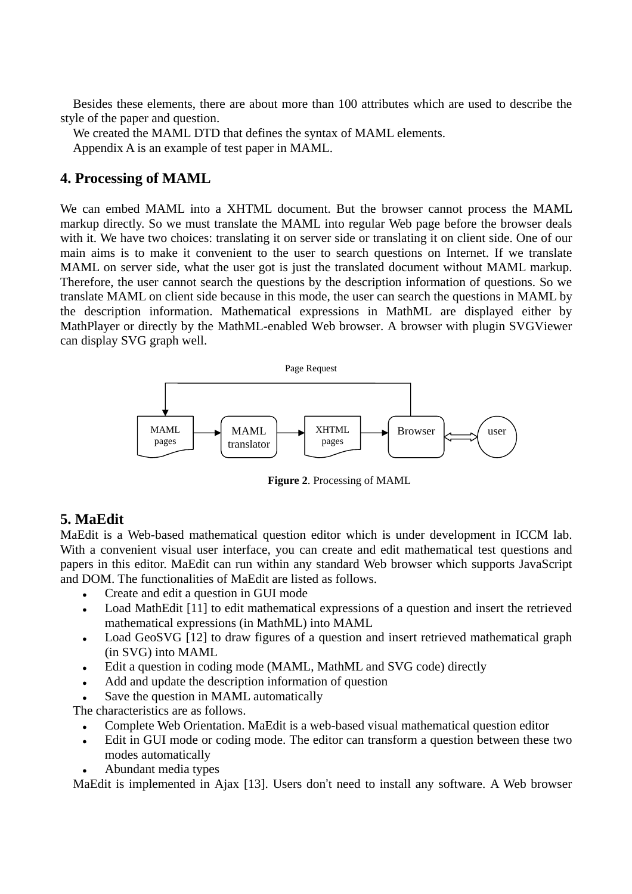Besides these elements, there are about more than 100 attributes which are used to describe the style of the paper and question.

We created the MAML DTD that defines the syntax of MAML elements. Appendix A is an example of test paper in MAML.

# **4. Processing of MAML**

We can embed MAML into a XHTML document. But the browser cannot process the MAML markup directly. So we must translate the MAML into regular Web page before the browser deals with it. We have two choices: translating it on server side or translating it on client side. One of our main aims is to make it convenient to the user to search questions on Internet. If we translate MAML on server side, what the user got is just the translated document without MAML markup. Therefore, the user cannot search the questions by the description information of questions. So we translate MAML on client side because in this mode, the user can search the questions in MAML by the description information. Mathematical expressions in MathML are displayed either by MathPlayer or directly by the MathML-enabled Web browser. A browser with plugin SVGViewer can display SVG graph well.



**Figure 2**. Processing of MAML

### **5. MaEdit**

MaEdit is a Web-based mathematical question editor which is under development in ICCM lab. With a convenient visual user interface, you can create and edit mathematical test questions and papers in this editor. MaEdit can run within any standard Web browser which supports JavaScript and DOM. The functionalities of MaEdit are listed as follows.

- <sup>z</sup> Create and edit a question in GUI mode
- Load MathEdit [11] to edit mathematical expressions of a question and insert the retrieved mathematical expressions (in MathML) into MAML
- Load GeoSVG [12] to draw figures of a question and insert retrieved mathematical graph (in SVG) into MAML
- Edit a question in coding mode (MAML, MathML and SVG code) directly
- Add and update the description information of question
- Save the question in MAML automatically

The characteristics are as follows.

- Complete Web Orientation. MaEdit is a web-based visual mathematical question editor
- Edit in GUI mode or coding mode. The editor can transform a question between these two modes automatically
- Abundant media types

MaEdit is implemented in Ajax [13]. Users don't need to install any software. A Web browser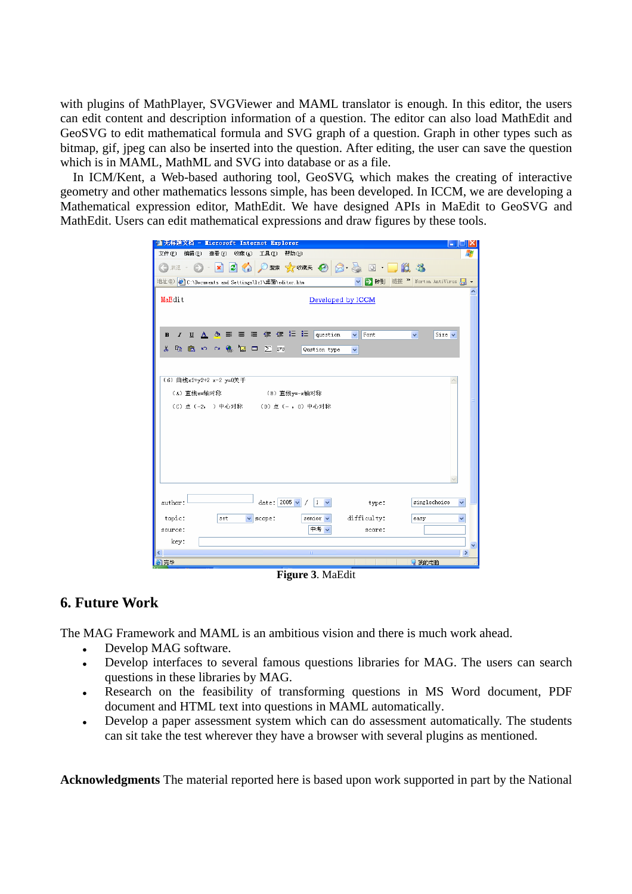with plugins of MathPlayer, SVGViewer and MAML translator is enough. In this editor, the users can edit content and description information of a question. The editor can also load MathEdit and GeoSVG to edit mathematical formula and SVG graph of a question. Graph in other types such as bitmap, gif, jpeg can also be inserted into the question. After editing, the user can save the question which is in MAML, MathML and SVG into database or as a file.

In ICM/Kent, a Web-based authoring tool, GeoSVG, which makes the creating of interactive geometry and other mathematics lessons simple, has been developed. In ICCM, we are developing a Mathematical expression editor, MathEdit. We have designed APIs in MaEdit to GeoSVG and MathEdit. Users can edit mathematical expressions and draw figures by these tools.

| <sup>2</sup> 无标题文档 - Licrosoft Internet Explorer<br>العالي                                                                        |  |
|-----------------------------------------------------------------------------------------------------------------------------------|--|
| 文件(F)<br>编辑(E) 查看(V) 收藏(A)<br>工具①<br>帮助 (H)                                                                                       |  |
|                                                                                                                                   |  |
| → 转到 链接 > Norton AntiVirus ■ ▼<br>地址(D) 6:\Documents and Settings\1z1\桌面\editor.htm                                               |  |
| MaEdit<br>Developed by ICCM                                                                                                       |  |
| <u>Ι U Α</u> & Ε Ε Ε (Ε Ε Ε   question<br>Font<br>$Size \vee$<br>$\checkmark$<br>В<br>v                                           |  |
| $\backsim$ $\sim$ $\blacksquare$ $\blacksquare$ $\blacksquare$ $\triangleright$ $\mathbb{S}^n$<br>y.<br>46 危<br>Qustion type<br>v |  |
|                                                                                                                                   |  |
|                                                                                                                                   |  |
| (6) 曲线x2+y2+2 x-2 y=0关于                                                                                                           |  |
| (A) 直线x=轴对称 (B) 直线y=-x轴对称                                                                                                         |  |
| (C) 点 (-2, ) 中心对称 (D) 点 (-, 0) 中心对称                                                                                               |  |
|                                                                                                                                   |  |
|                                                                                                                                   |  |
|                                                                                                                                   |  |
|                                                                                                                                   |  |
|                                                                                                                                   |  |
|                                                                                                                                   |  |
|                                                                                                                                   |  |
| date: $2005 -$<br>author:<br>$1 \sqrt{}$<br>singlechoice<br>type:<br>v                                                            |  |
|                                                                                                                                   |  |
| topic:<br>difficulty:<br>$\vee$ scope:<br>senior v<br>set<br>easy<br>v                                                            |  |
| 中考 ~<br>source:<br>score:                                                                                                         |  |
| key:                                                                                                                              |  |
| IIII.<br>$\rightarrow$<br>≺<br>2 我的电脑                                                                                             |  |
| 倉完毕                                                                                                                               |  |

**Figure 3**. MaEdit

# **6. Future Work**

The MAG Framework and MAML is an ambitious vision and there is much work ahead.

- Develop MAG software.
- Develop interfaces to several famous questions libraries for MAG. The users can search questions in these libraries by MAG.
- Research on the feasibility of transforming questions in MS Word document, PDF document and HTML text into questions in MAML automatically.
- Develop a paper assessment system which can do assessment automatically. The students can sit take the test wherever they have a browser with several plugins as mentioned.

**Acknowledgments** The material reported here is based upon work supported in part by the National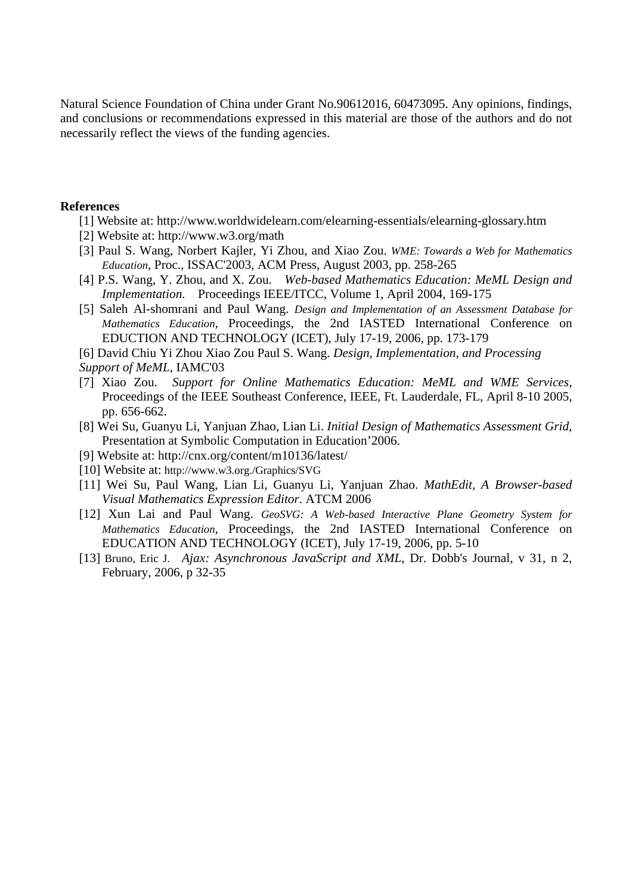Natural Science Foundation of China under Grant No.90612016, 60473095. Any opinions, findings, and conclusions or recommendations expressed in this material are those of the authors and do not necessarily reflect the views of the funding agencies.

### **References**

- [1] Website at: http://www.worldwidelearn.com/elearning-essentials/elearning-glossary.htm
- [2] Website at: http://www.w3.org/math
- [3] Paul S. Wang, Norbert Kajler, Yi Zhou, and Xiao Zou. *WME: Towards a Web for Mathematics Education*, Proc., ISSAC'2003, ACM Press, August 2003, pp. 258-265
- [4] P.S. Wang, Y. Zhou, and X. Zou. *Web-based Mathematics Education: MeML Design and Implementation*. Proceedings IEEE/ITCC, Volume 1, April 2004, 169-175
- [5] Saleh Al-shomrani and Paul Wang. *Design and Implementation of an Assessment Database for Mathematics Education*, Proceedings, the 2nd IASTED International Conference on EDUCTION AND TECHNOLOGY (ICET), July 17-19, 2006, pp. 173-179
- [6] David Chiu Yi Zhou Xiao Zou Paul S. Wang. *Design, Implementation, and Processing*
- *Support of MeML*, IAMC'03
- [7] Xiao Zou. *Support for Online Mathematics Education: MeML and WME Services*, Proceedings of the IEEE Southeast Conference, IEEE, Ft. Lauderdale, FL, April 8-10 2005, pp. 656-662.
- [8] Wei Su, Guanyu Li, Yanjuan Zhao, Lian Li. *Initial Design of Mathematics Assessment Grid*, Presentation at Symbolic Computation in Education'2006.
- [9] Website at: http://cnx.org/content/m10136/latest/
- [10] Website at: http://www.w3.org./Graphics/SVG
- [11] Wei Su, Paul Wang, Lian Li, Guanyu Li, Yanjuan Zhao. *MathEdit, A Browser-based Visual Mathematics Expression Editor*. ATCM 2006
- [12] Xun Lai and Paul Wang. *GeoSVG: A Web-based Interactive Plane Geometry System for Mathematics Education*, Proceedings, the 2nd IASTED International Conference on EDUCATION AND TECHNOLOGY (ICET), July 17-19, 2006, pp. 5-10
- [13] Bruno, Eric J. *Ajax: Asynchronous JavaScript and XML*, Dr. Dobb's Journal, v 31, n 2, February, 2006, p 32-35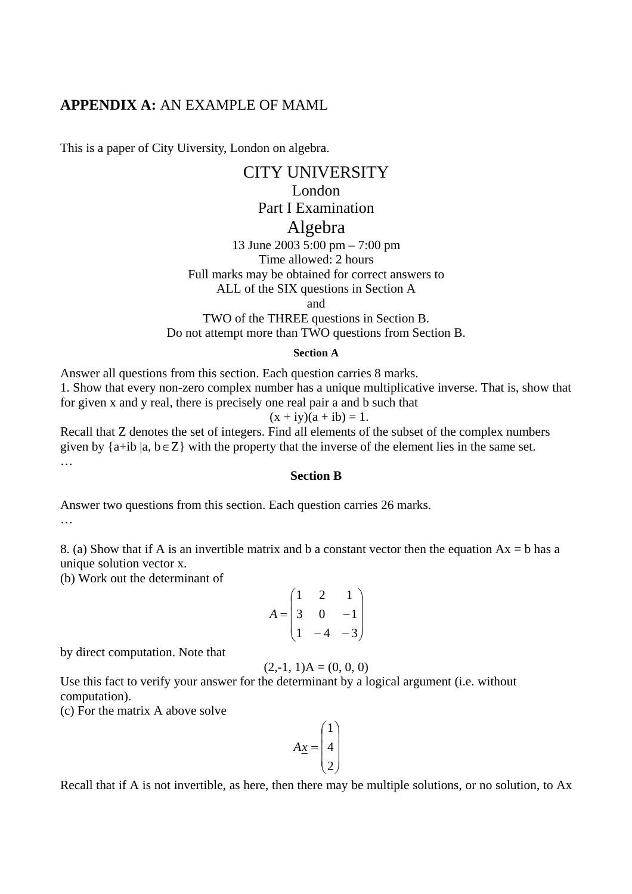# **APPENDIX A:** AN EXAMPLE OF MAML

This is a paper of City Uiversity, London on algebra.

# CITY UNIVERSITY London

# Part I Examination

# Algebra

13 June 2003 5:00 pm – 7:00 pm Time allowed: 2 hours Full marks may be obtained for correct answers to

ALL of the SIX questions in Section A

and

TWO of the THREE questions in Section B. Do not attempt more than TWO questions from Section B.

### **Section A**

Answer all questions from this section. Each question carries 8 marks. 1. Show that every non-zero complex number has a unique multiplicative inverse. That is, show that for given x and y real, there is precisely one real pair a and b such that

$$
(x + iy)(a + ib) = 1.
$$

Recall that Z denotes the set of integers. Find all elements of the subset of the complex numbers given by  $\{a+i\mathbf{b} \mid a, \mathbf{b} \in \mathbb{Z}\}$  with the property that the inverse of the element lies in the same set. …

### **Section B**

Answer two questions from this section. Each question carries 26 marks. …

8. (a) Show that if A is an invertible matrix and b a constant vector then the equation  $Ax = b$  has a unique solution vector x.

(b) Work out the determinant of

$$
A = \begin{pmatrix} 1 & 2 & 1 \\ 3 & 0 & -1 \\ 1 & -4 & -3 \end{pmatrix}
$$

by direct computation. Note that

$$
(2,-1, 1)A = (0, 0, 0)
$$

Use this fact to verify your answer for the determinant by a logical argument (i.e. without computation).

(c) For the matrix A above solve

$$
A\underline{x} = \begin{pmatrix} 1 \\ 4 \\ 2 \end{pmatrix}
$$

Recall that if A is not invertible, as here, then there may be multiple solutions, or no solution, to Ax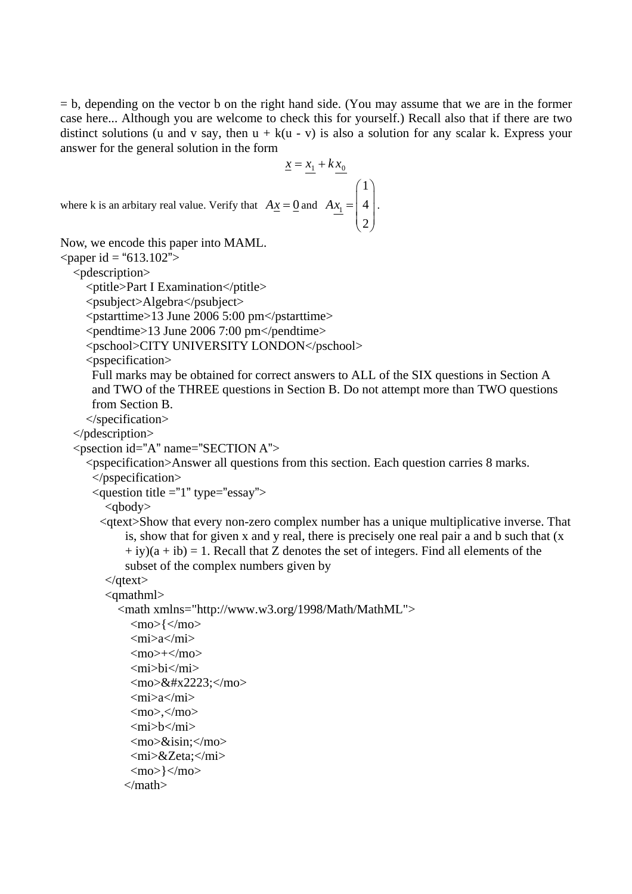$=$  b, depending on the vector b on the right hand side. (You may assume that we are in the former case here... Although you are welcome to check this for yourself.) Recall also that if there are two distinct solutions (u and v say, then  $u + k(u - v)$  is also a solution for any scalar k. Express your answer for the general solution in the form

.

$$
\underline{x} = \underline{x_1} + k \underline{x_0}
$$
  
by that  $A\underline{x} = \underline{0}$  and  $A\underline{x_1} = \begin{pmatrix} 1 \\ 4 \\ 2 \end{pmatrix}$ 

where k is an arbitary real value. Verify

Now, we encode this paper into MAML.

 $\epsilon$  = "613.102">

<pdescription>

<ptitle>Part I Examination</ptitle>

<psubject>Algebra</psubject>

<pstarttime>13 June 2006 5:00 pm</pstarttime>

 $\epsilon$  >pendtime>13 June 2006 7:00 pm $\epsilon$ /pendtime>

<pschool>CITY UNIVERSITY LONDON</pschool>

<pspecification>

Full marks may be obtained for correct answers to ALL of the SIX questions in Section A and TWO of the THREE questions in Section B. Do not attempt more than TWO questions from Section B.

</specification>

</pdescription>

```
\leq psection id="A" name="SECTION A">
```
### <pspecification>Answer all questions from this section. Each question carries 8 marks. </pspecification>

 $\alpha$  <question title ="1" type="essay">

<qbody>

<qtext>Show that every non-zero complex number has a unique multiplicative inverse. That is, show that for given x and y real, there is precisely one real pair a and b such that (x  $+$  iy)(a + ib) = 1. Recall that Z denotes the set of integers. Find all elements of the subset of the complex numbers given by

```
</qtext>
```
<qmathml>

```
<math xmlns="http://www.w3.org/1998/Math/MathML">
```

```
\langlemo>\langle\langlemo>
 \langle \text{m}i \rangle a \langle \text{m}i \rangle<mo>+</mo>
  <mi>bi</mi> 
 \langlemo>&#x2223:\langlemo>
 <mi> a</mi><mo></mo> <mi>b</mi> 
 <mo>&isin:</mo>
 <mi>&Zeta;</mi>
 \langlemo>\rangle\langle/mo>
</math>
```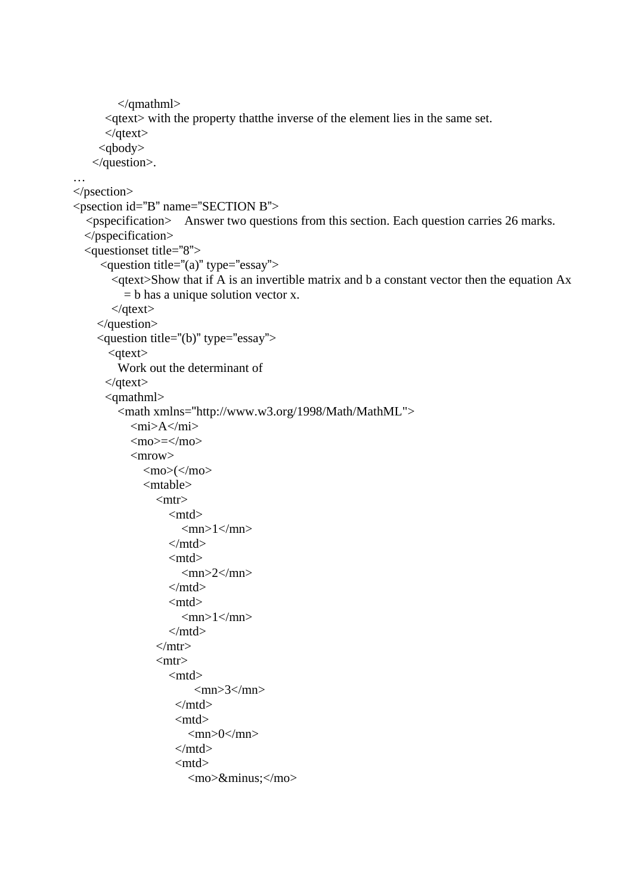```
</qmathml> 
      <qtext> with the property thatthe inverse of the element lies in the same set. 
      </qtext> 
     <qbody> 
    </question>. 
… 
</psection> 
<psection id="B" name="SECTION B"> 
  <pspecification> Answer two questions from this section. Each question carries 26 marks. 
  </pspecification> 
  <questionset title="8"> 
     <question title="(a)" type="essay"> 
        <qtext>Show that if A is an invertible matrix and b a constant vector then the equation Ax 
          = b has a unique solution vector x.
       </qtext> 
      </question> 
     <question title="(b)" type="essay"> 
       <qtext> Work out the determinant of 
       </qtext> 
       <qmathml> 
         <math xmlns="http://www.w3.org/1998/Math/MathML"> 
           \langle \text{mi}\rangleA\langle \text{mi}\rangle<mo>=</mo><mrow><mo>(</mo>
               <mtable> 
                <mtr> <mtd> 
                      <mn>1</mn>
                    </mtd> 
                    <mtd> 
                      <mn>2</mn>
                    </mtd> 
                    <mtd> 
                      <mn>1</mn></mtd></mtr> <mtr> 
                    <mtd> 
                        \langle mn \rangle3\langle mn \rangle</mtd> <mtd> 
                       <mn>0</mn> </mtd> 
                     <mtd> 
                       <mo>&minus;</mo>
```